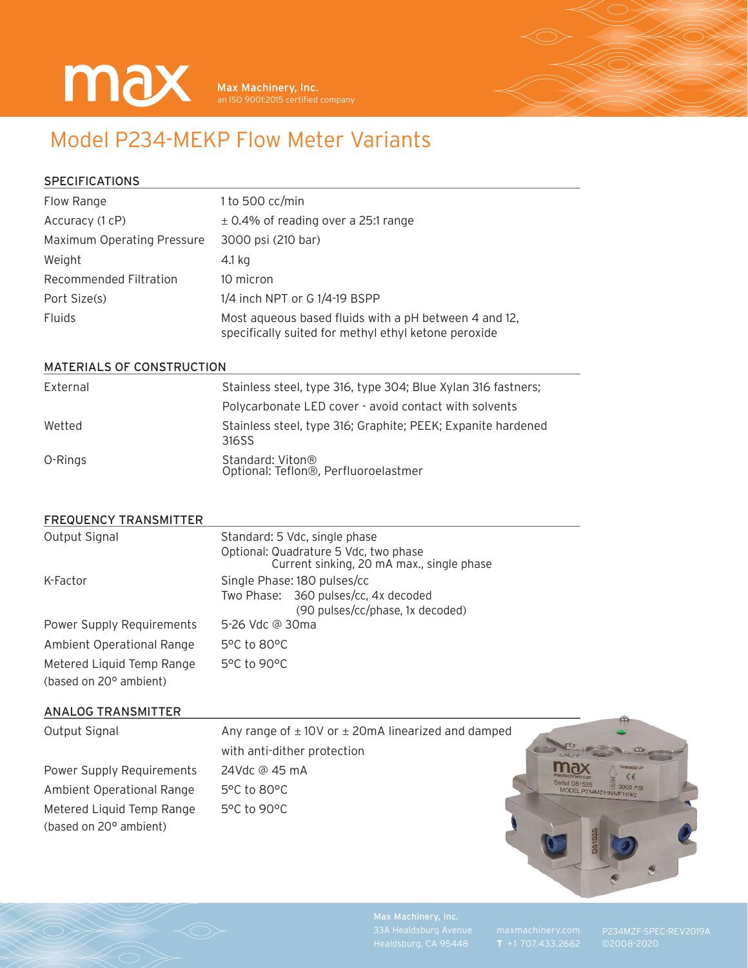

# Model P234-MEKP Flow Meter Variants

**SPECIFICATIONS** 

| Flow Range                 | 1 to 500 $cc/min$                                                                                             |  |
|----------------------------|---------------------------------------------------------------------------------------------------------------|--|
| Accuracy (1 cP)            | $\pm$ 0.4% of reading over a 25:1 range                                                                       |  |
| Maximum Operating Pressure | 3000 psi (210 bar)                                                                                            |  |
| Weight                     | 4.1 kg                                                                                                        |  |
| Recommended Filtration     | 10 micron                                                                                                     |  |
| Port Size(s)               | 1/4 inch NPT or G 1/4-19 BSPP                                                                                 |  |
| <b>Fluids</b>              | Most aqueous based fluids with a pH between 4 and 12,<br>specifically suited for methyl ethyl ketone peroxide |  |

#### MATERIALS OF CONSTRUCTION

| External | Stainless steel, type 316, type 304; Blue Xylan 316 fastners;         |  |
|----------|-----------------------------------------------------------------------|--|
|          | Polycarbonate LED cover - avoid contact with solvents                 |  |
| Wetted   | Stainless steel, type 316; Graphite; PEEK; Expanite hardened<br>316SS |  |
| O-Rings  | Standard: Viton®<br>Optional: Teflon®, Perfluoroelastmer              |  |

### FREQUENCY TRANSMITTER

| Output Signal                                       | Standard: 5 Vdc, single phase<br>Optional: Quadrature 5 Vdc, two phase<br>Current sinking, 20 mA max., single phase |  |
|-----------------------------------------------------|---------------------------------------------------------------------------------------------------------------------|--|
| K-Factor                                            | Single Phase: 180 pulses/cc<br>Two Phase: 360 pulses/cc, 4x decoded<br>(90 pulses/cc/phase, 1x decoded)             |  |
| Power Supply Requirements                           | 5-26 Vdc @ 30ma                                                                                                     |  |
| Ambient Operational Range                           | $5^{\circ}$ C to 80 $^{\circ}$ C                                                                                    |  |
| Metered Liquid Temp Range<br>(based on 20° ambient) | 5°C to 90°C                                                                                                         |  |

### ANALOG TRANSMITTER

| Output Signal             | Any range of $\pm$ 10V or $\pm$ 20mA linearized and damped |                                                                |
|---------------------------|------------------------------------------------------------|----------------------------------------------------------------|
|                           | with anti-dither protection                                |                                                                |
| Power Supply Requirements | 24Vdc @ 45 mA                                              | max<br><b>18 SIDE UP</b>                                       |
| Ambient Operational Range | 5°C to 80°C                                                | Serial D81525<br>$\approx$ 3000 PSV<br>MODEL P234MZ11NA/P11N/2 |
| Metered Liquid Temp Range | 5°C to 90°C                                                |                                                                |
| (based on 20° ambient)    |                                                            |                                                                |
|                           |                                                            |                                                                |
|                           |                                                            |                                                                |

Max Machinery, Inc.

بالمض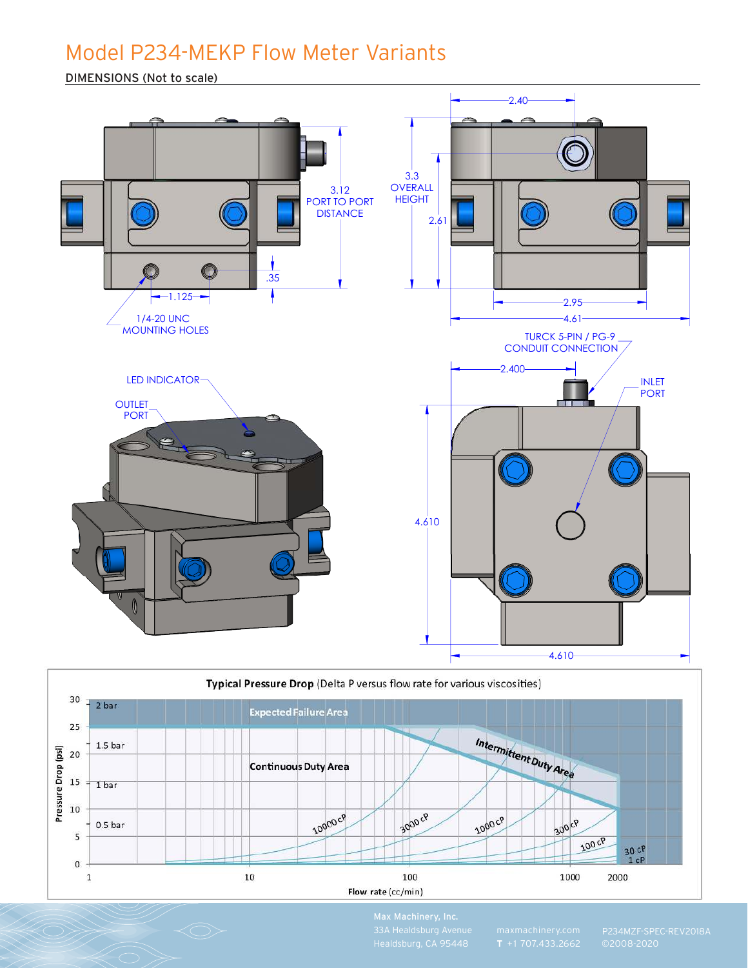# Model P234-MEKP Flow Meter Variants

DIMENSIONS (Not to scale)